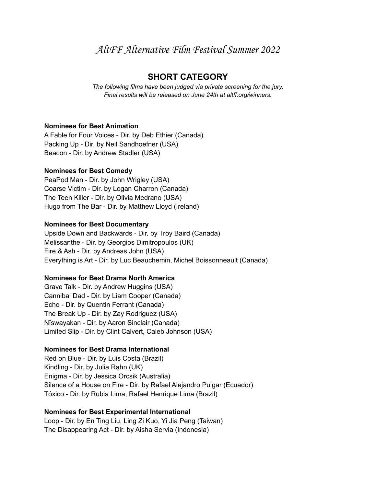AltFF Alternative Film Festival Summer 2022

# **SHORT CATEGORY**

*The following films have been judged via private screening for the jury. Final results will be released on June 24th at altff.org/winners.*

#### **Nominees for Best Animation**

A Fable for Four Voices - Dir. by Deb Ethier (Canada) Packing Up - Dir. by Neil Sandhoefner (USA) Beacon - Dir. by Andrew Stadler (USA)

#### **Nominees for Best Comedy**

PeaPod Man - Dir. by John Wrigley (USA) Coarse Victim - Dir. by Logan Charron (Canada) The Teen Killer - Dir. by Olivia Medrano (USA) Hugo from The Bar - Dir. by Matthew Lloyd (Ireland)

#### **Nominees for Best Documentary**

Upside Down and Backwards - Dir. by Troy Baird (Canada) Melissanthe - Dir. by Georgios Dimitropoulos (UK) Fire & Ash - Dir. by Andreas John (USA) Everything is Art - Dir. by Luc Beauchemin, Michel Boissonneault (Canada)

# **Nominees for Best Drama North America**

Grave Talk - Dir. by Andrew Huggins (USA) Cannibal Dad - Dir. by Liam Cooper (Canada) Echo - Dir. by Quentin Ferrant (Canada) The Break Up - Dir. by Zay Rodriguez (USA) Nîswayakan - Dir. by Aaron Sinclair (Canada) Limited Slip - Dir. by Clint Calvert, Caleb Johnson (USA)

# **Nominees for Best Drama International**

Red on Blue - Dir. by Luis Costa (Brazil) Kindling - Dir. by Julia Rahn (UK) Enigma - Dir. by Jessica Orcsik (Australia) Silence of a House on Fire - Dir. by Rafael Alejandro Pulgar (Ecuador) Tóxico - Dir. by Rubia Lima, Rafael Henrique Lima (Brazil)

# **Nominees for Best Experimental International**

Loop - Dir. by En Ting Liu, Ling Zi Kuo, Yi Jia Peng (Taiwan) The Disappearing Act - Dir. by Aisha Servia (Indonesia)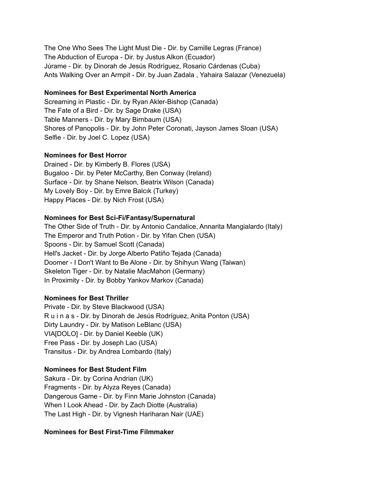The One Who Sees The Light Must Die - Dir. by Camille Legras (France) The Abduction of Europa - Dir. by Justus Alkon (Ecuador) Júrame - Dir. by Dinorah de Jesús Rodríguez, Rosario Cárdenas (Cuba) Ants Walking Over an Armpit - Dir. by Juan Zadala , Yahaira Salazar (Venezuela)

#### **Nominees for Best Experimental North America**

Screaming in Plastic - Dir. by Ryan Akler-Bishop (Canada) The Fate of a Bird - Dir. by Sage Drake (USA) Table Manners - Dir. by Mary Birnbaum (USA) Shores of Panopolis - Dir. by John Peter Coronati, Jayson James Sloan (USA) Selfie - Dir. by Joel C. Lopez (USA)

#### **Nominees for Best Horror**

Drained - Dir. by Kimberly B. Flores (USA) Bugaloo - Dir. by Peter McCarthy, Ben Conway (Ireland) Surface - Dir. by Shane Nelson, Beatrix Wilson (Canada) My Lovely Boy - Dir. by Emre Balcık (Turkey) Happy Places - Dir. by Nich Frost (USA)

# **Nominees for Best Sci-Fi/Fantasy/Supernatural**

The Other Side of Truth - Dir. by Antonio Candalice, Annarita Mangialardo (Italy) The Emperor and Truth Potion - Dir. by Yifan Chen (USA) Spoons - Dir. by Samuel Scott (Canada) Hell's Jacket - Dir. by Jorge Alberto Patiño Tejada (Canada) Doomer - I Don't Want to Be Alone - Dir. by Shihyun Wang (Taiwan) Skeleton Tiger - Dir. by Natalie MacMahon (Germany) In Proximity - Dir. by Bobby Yankov Markov (Canada)

#### **Nominees for Best Thriller**

Private - Dir. by Steve Blackwood (USA) R u i n a s - Dir. by Dinorah de Jesús Rodríguez, Anita Ponton (USA) Dirty Laundry - Dir. by Matison LeBlanc (USA) VIA[DOLO] - Dir. by Daniel Keeble (UK) Free Pass - Dir. by Joseph Lao (USA) Transitus - Dir. by Andrea Lombardo (Italy)

# **Nominees for Best Student Film**

Sakura - Dir. by Corina Andrian (UK) Fragments - Dir. by Alyza Reyes (Canada) Dangerous Game - Dir. by Finn Marie Johnston (Canada) When I Look Ahead - Dir. by Zach Diotte (Australia) The Last High - Dir. by Vignesh Hariharan Nair (UAE)

# **Nominees for Best First-Time Filmmaker**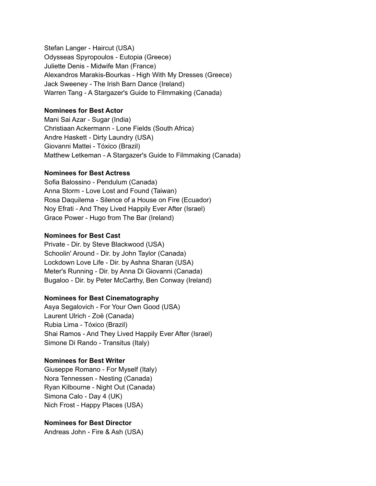Stefan Langer - Haircut (USA) Odysseas Spyropoulos - Eutopia (Greece) Juliette Denis - Midwife Man (France) Alexandros Marakis-Bourkas - High With My Dresses (Greece) Jack Sweeney - The Irish Barn Dance (Ireland) Warren Tang - A Stargazer's Guide to Filmmaking (Canada)

#### **Nominees for Best Actor**

Mani Sai Azar - Sugar (India) Christiaan Ackermann - Lone Fields (South Africa) Andre Haskett - Dirty Laundry (USA) Giovanni Mattei - Tóxico (Brazil) Matthew Letkeman - A Stargazer's Guide to Filmmaking (Canada)

#### **Nominees for Best Actress**

Sofia Balossino - Pendulum (Canada) Anna Storm - Love Lost and Found (Taiwan) Rosa Daquilema - Silence of a House on Fire (Ecuador) Noy Efrati - And They Lived Happily Ever After (Israel) Grace Power - Hugo from The Bar (Ireland)

#### **Nominees for Best Cast**

Private - Dir. by Steve Blackwood (USA) Schoolin' Around - Dir. by John Taylor (Canada) Lockdown Love Life - Dir. by Ashna Sharan (USA) Meter's Running - Dir. by Anna Di Giovanni (Canada) Bugaloo - Dir. by Peter McCarthy, Ben Conway (Ireland)

# **Nominees for Best Cinematography**

Asya Segalovich - For Your Own Good (USA) Laurent Ulrich - Zoë (Canada) Rubia Lima - Tóxico (Brazil) Shai Ramos - And They Lived Happily Ever After (Israel) Simone Di Rando - Transitus (Italy)

# **Nominees for Best Writer**

Giuseppe Romano - For Myself (Italy) Nora Tennessen - Nesting (Canada) Ryan Kilbourne - Night Out (Canada) Simona Calo - Day 4 (UK) Nich Frost - Happy Places (USA)

# **Nominees for Best Director**

Andreas John - Fire & Ash (USA)